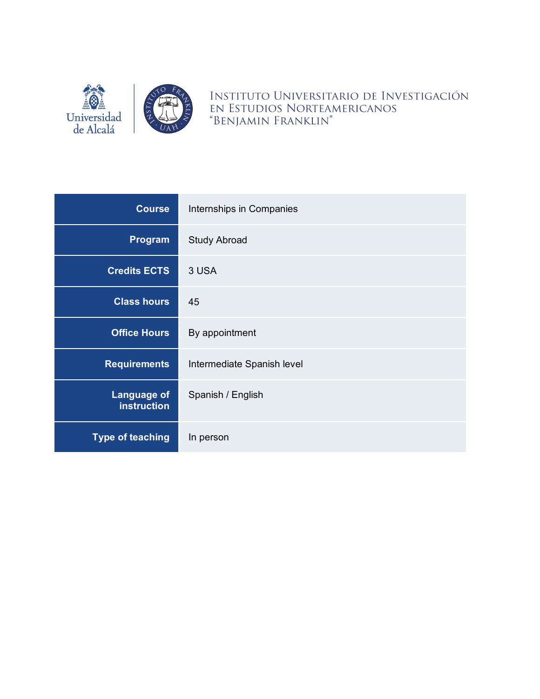

INSTITUTO UNIVERSITARIO DE INVESTIGACIÓN EN ESTUDIOS NORTEAMERICANOS<br>"BENJAMIN FRANKLIN"

| <b>Course</b>                            | Internships in Companies   |
|------------------------------------------|----------------------------|
| Program                                  | <b>Study Abroad</b>        |
| <b>Credits ECTS</b>                      | 3 USA                      |
| <b>Class hours</b>                       | 45                         |
| <b>Office Hours</b>                      | By appointment             |
| <b>Requirements</b>                      | Intermediate Spanish level |
| <b>Language of</b><br><b>instruction</b> | Spanish / English          |
| <b>Type of teaching</b>                  | In person                  |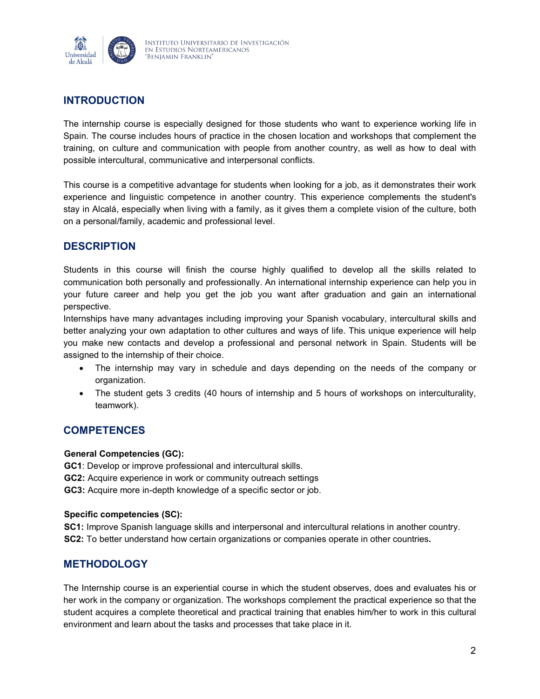

## **INTRODUCTION**

The internship course is especially designed for those students who want to experience working life in Spain. The course includes hours of practice in the chosen location and workshops that complement the training, on culture and communication with people from another country, as well as how to deal with possible intercultural, communicative and interpersonal conflicts.

This course is a competitive advantage for students when looking for a job, as it demonstrates their work experience and linguistic competence in another country. This experience complements the student's stay in Alcalá, especially when living with a family, as it gives them a complete vision of the culture, both on a personal/family, academic and professional level.

### **DESCRIPTION**

Students in this course will finish the course highly qualified to develop all the skills related to communication both personally and professionally. An international internship experience can help you in your future career and help you get the job you want after graduation and gain an international perspective.

Internships have many advantages including improving your Spanish vocabulary, intercultural skills and better analyzing your own adaptation to other cultures and ways of life. This unique experience will help you make new contacts and develop a professional and personal network in Spain. Students will be assigned to the internship of their choice.

- The internship may vary in schedule and days depending on the needs of the company or organization.
- The student gets 3 credits (40 hours of internship and 5 hours of workshops on interculturality, teamwork).

### **COMPETENCES**

#### **General Competencies (GC):**

**GC1**: Develop or improve professional and intercultural skills. **GC2:** Acquire experience in work or community outreach settings **GC3:** Acquire more in-depth knowledge of a specific sector or job.

#### **Specific competencies (SC):**

**SC1:** Improve Spanish language skills and interpersonal and intercultural relations in another country. **SC2:** To better understand how certain organizations or companies operate in other countries**.**

### **METHODOLOGY**

The Internship course is an experiential course in which the student observes, does and evaluates his or her work in the company or organization. The workshops complement the practical experience so that the student acquires a complete theoretical and practical training that enables him/her to work in this cultural environment and learn about the tasks and processes that take place in it.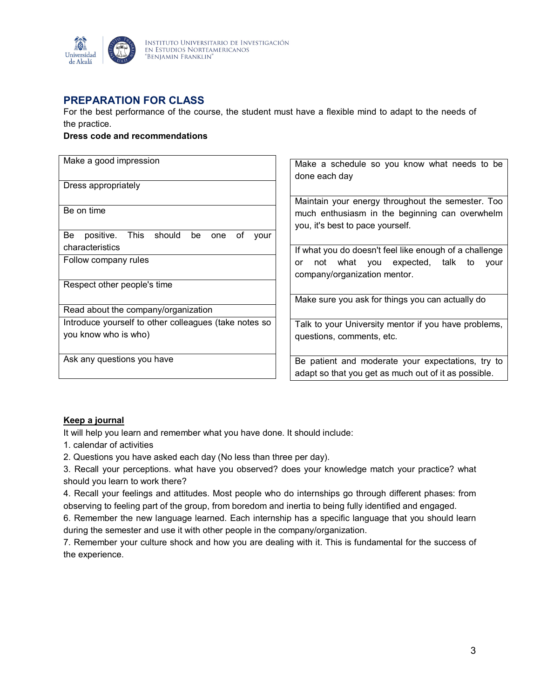

### **PREPARATION FOR CLASS**

For the best performance of the course, the student must have a flexible mind to adapt to the needs of the practice.

#### **Dress code and recommendations**

| Make a good impression                                       | Make a schedule so you know what needs to be           |  |
|--------------------------------------------------------------|--------------------------------------------------------|--|
|                                                              | done each day                                          |  |
| Dress appropriately                                          |                                                        |  |
|                                                              | Maintain your energy throughout the semester. Too      |  |
| Be on time                                                   |                                                        |  |
|                                                              | much enthusiasm in the beginning can overwhelm         |  |
|                                                              | you, it's best to pace yourself.                       |  |
| This<br>should<br>positive.<br>Be<br>οf<br>be<br>one<br>vour |                                                        |  |
| characteristics                                              | If what you do doesn't feel like enough of a challenge |  |
|                                                              |                                                        |  |
| Follow company rules                                         | not what you expected, talk<br>vour<br>to<br>or        |  |
|                                                              | company/organization mentor.                           |  |
| Respect other people's time                                  |                                                        |  |
|                                                              |                                                        |  |
|                                                              | Make sure you ask for things you can actually do       |  |
| Read about the company/organization                          |                                                        |  |
| Introduce yourself to other colleagues (take notes so        | Talk to your University mentor if you have problems,   |  |
| you know who is who)                                         | questions, comments, etc.                              |  |
|                                                              |                                                        |  |
|                                                              |                                                        |  |
| Ask any questions you have                                   | Be patient and moderate your expectations, try to      |  |
|                                                              | adapt so that you get as much out of it as possible.   |  |

#### **Keep a journal**

It will help you learn and remember what you have done. It should include:

1. calendar of activities

2. Questions you have asked each day (No less than three per day).

3. Recall your perceptions. what have you observed? does your knowledge match your practice? what should you learn to work there?

4. Recall your feelings and attitudes. Most people who do internships go through different phases: from observing to feeling part of the group, from boredom and inertia to being fully identified and engaged.

6. Remember the new language learned. Each internship has a specific language that you should learn during the semester and use it with other people in the company/organization.

7. Remember your culture shock and how you are dealing with it. This is fundamental for the success of the experience.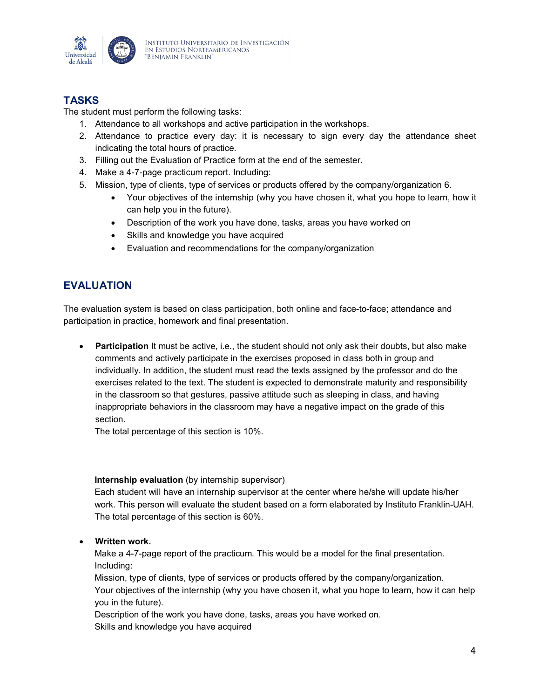

# **TASKS**

The student must perform the following tasks:

- 1. Attendance to all workshops and active participation in the workshops.
- 2. Attendance to practice every day: it is necessary to sign every day the attendance sheet indicating the total hours of practice.
- 3. Filling out the Evaluation of Practice form at the end of the semester.
- 4. Make a 4-7-page practicum report. Including:
- 5. Mission, type of clients, type of services or products offered by the company/organization 6.
	- Your objectives of the internship (why you have chosen it, what you hope to learn, how it can help you in the future).
	- Description of the work you have done, tasks, areas you have worked on
	- Skills and knowledge you have acquired
	- Evaluation and recommendations for the company/organization

### **EVALUATION**

The evaluation system is based on class participation, both online and face-to-face; attendance and participation in practice, homework and final presentation.

• **Participation** It must be active, i.e., the student should not only ask their doubts, but also make comments and actively participate in the exercises proposed in class both in group and individually. In addition, the student must read the texts assigned by the professor and do the exercises related to the text. The student is expected to demonstrate maturity and responsibility in the classroom so that gestures, passive attitude such as sleeping in class, and having inappropriate behaviors in the classroom may have a negative impact on the grade of this section.

The total percentage of this section is 10%.

#### **Internship evaluation** (by internship supervisor)

Each student will have an internship supervisor at the center where he/she will update his/her work. This person will evaluate the student based on a form elaborated by Instituto Franklin-UAH. The total percentage of this section is 60%.

#### • **Written work.**

Make a 4-7-page report of the practicum. This would be a model for the final presentation. Including:

Mission, type of clients, type of services or products offered by the company/organization. Your objectives of the internship (why you have chosen it, what you hope to learn, how it can help you in the future).

Description of the work you have done, tasks, areas you have worked on. Skills and knowledge you have acquired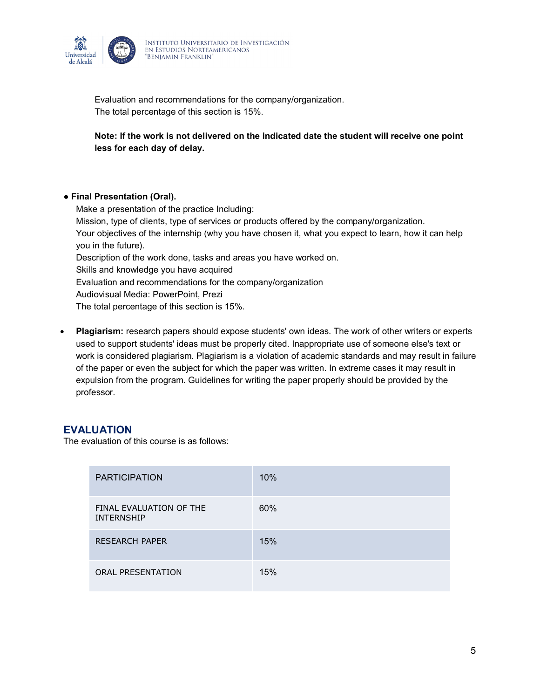

Evaluation and recommendations for the company/organization. The total percentage of this section is 15%.

**Note: If the work is not delivered on the indicated date the student will receive one point less for each day of delay.** 

#### ● **Final Presentation (Oral).**

Make a presentation of the practice Including: Mission, type of clients, type of services or products offered by the company/organization. Your objectives of the internship (why you have chosen it, what you expect to learn, how it can help you in the future). Description of the work done, tasks and areas you have worked on. Skills and knowledge you have acquired Evaluation and recommendations for the company/organization Audiovisual Media: PowerPoint, Prezi The total percentage of this section is 15%.

• **Plagiarism:** research papers should expose students' own ideas. The work of other writers or experts used to support students' ideas must be properly cited. Inappropriate use of someone else's text or work is considered plagiarism. Plagiarism is a violation of academic standards and may result in failure of the paper or even the subject for which the paper was written. In extreme cases it may result in expulsion from the program. Guidelines for writing the paper properly should be provided by the professor.

#### **EVALUATION**

The evaluation of this course is as follows:

| <b>PARTICIPATION</b>                         | 10% |
|----------------------------------------------|-----|
| FINAL EVALUATION OF THE<br><b>INTERNSHIP</b> | 60% |
| <b>RESEARCH PAPER</b>                        | 15% |
| <b>ORAL PRESENTATION</b>                     | 15% |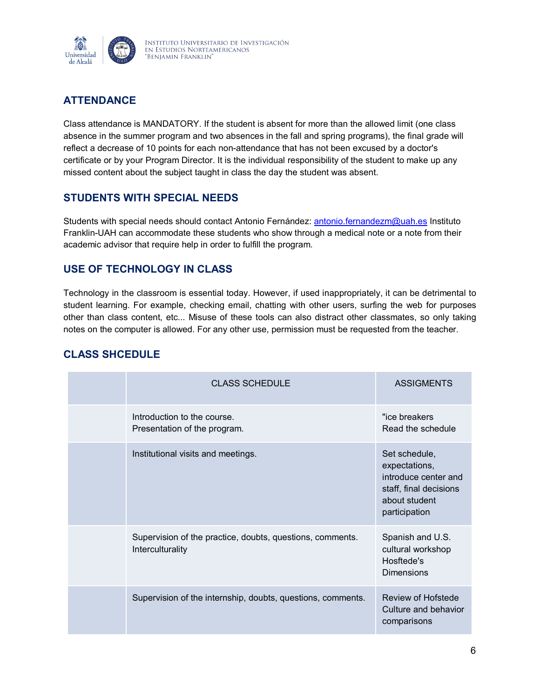

# **ATTENDANCE**

Class attendance is MANDATORY. If the student is absent for more than the allowed limit (one class absence in the summer program and two absences in the fall and spring programs), the final grade will reflect a decrease of 10 points for each non-attendance that has not been excused by a doctor's certificate or by your Program Director. It is the individual responsibility of the student to make up any missed content about the subject taught in class the day the student was absent.

### **STUDENTS WITH SPECIAL NEEDS**

Students with special needs should contact Antonio Fernández: [antonio.fernandezm@uah.es](mailto:antonio.fernandezm@uah.es) Instituto Franklin-UAH can accommodate these students who show through a medical note or a note from their academic advisor that require help in order to fulfill the program.

### **USE OF TECHNOLOGY IN CLASS**

Technology in the classroom is essential today. However, if used inappropriately, it can be detrimental to student learning. For example, checking email, chatting with other users, surfing the web for purposes other than class content, etc... Misuse of these tools can also distract other classmates, so only taking notes on the computer is allowed. For any other use, permission must be requested from the teacher.

| <b>CLASS SCHEDULE</b>                                                         | <b>ASSIGMENTS</b>                                                                                                  |
|-------------------------------------------------------------------------------|--------------------------------------------------------------------------------------------------------------------|
| Introduction to the course.<br>Presentation of the program.                   | "ice breakers<br>Read the schedule                                                                                 |
| Institutional visits and meetings.                                            | Set schedule,<br>expectations,<br>introduce center and<br>staff, final decisions<br>about student<br>participation |
| Supervision of the practice, doubts, questions, comments.<br>Interculturality | Spanish and U.S.<br>cultural workshop<br>Hosftede's<br><b>Dimensions</b>                                           |
| Supervision of the internship, doubts, questions, comments.                   | Review of Hofstede<br>Culture and behavior<br>comparisons                                                          |

# **CLASS SHCEDULE**